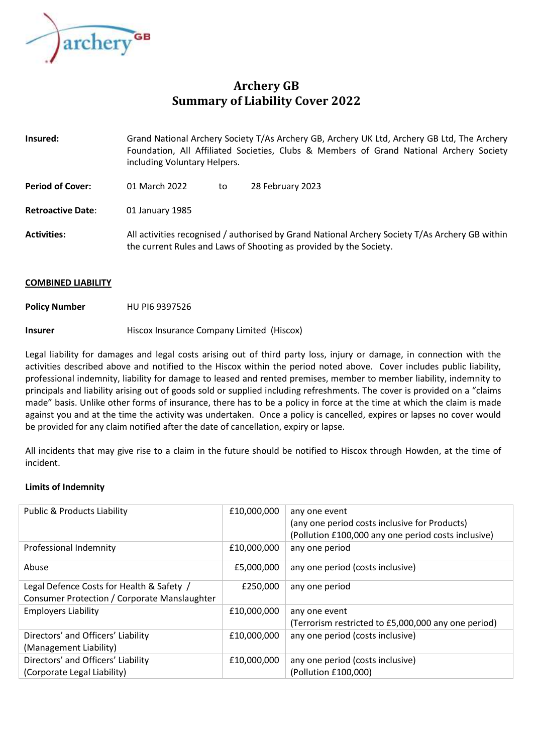

# **Archery GB Summary of Liability Cover 2022**

| Insured:                 | Grand National Archery Society T/As Archery GB, Archery UK Ltd, Archery GB Ltd, The Archery<br>Foundation, All Affiliated Societies, Clubs & Members of Grand National Archery Society<br>including Voluntary Helpers. |    |                  |  |
|--------------------------|------------------------------------------------------------------------------------------------------------------------------------------------------------------------------------------------------------------------|----|------------------|--|
| <b>Period of Cover:</b>  | 01 March 2022                                                                                                                                                                                                          | to | 28 February 2023 |  |
| <b>Retroactive Date:</b> | 01 January 1985                                                                                                                                                                                                        |    |                  |  |
| <b>Activities:</b>       | All activities recognised / authorised by Grand National Archery Society T/As Archery GB within<br>the current Rules and Laws of Shooting as provided by the Society.                                                  |    |                  |  |

#### **COMBINED LIABILITY**

#### **Policy Number** HU PI6 9397526

## **Insurer** Hiscox Insurance Company Limited (Hiscox)

Legal liability for damages and legal costs arising out of third party loss, injury or damage, in connection with the activities described above and notified to the Hiscox within the period noted above. Cover includes public liability, professional indemnity, liability for damage to leased and rented premises, member to member liability, indemnity to principals and liability arising out of goods sold or supplied including refreshments. The cover is provided on a "claims made" basis. Unlike other forms of insurance, there has to be a policy in force at the time at which the claim is made against you and at the time the activity was undertaken. Once a policy is cancelled, expires or lapses no cover would be provided for any claim notified after the date of cancellation, expiry or lapse.

All incidents that may give rise to a claim in the future should be notified to Hiscox through Howden, at the time of incident.

#### **Limits of Indemnity**

| <b>Public &amp; Products Liability</b>       | £10,000,000 | any one event<br>(any one period costs inclusive for Products)<br>(Pollution £100,000 any one period costs inclusive) |
|----------------------------------------------|-------------|-----------------------------------------------------------------------------------------------------------------------|
| Professional Indemnity                       | £10,000,000 | any one period                                                                                                        |
| Abuse                                        | £5,000,000  | any one period (costs inclusive)                                                                                      |
| Legal Defence Costs for Health & Safety /    | £250,000    | any one period                                                                                                        |
| Consumer Protection / Corporate Manslaughter |             |                                                                                                                       |
| <b>Employers Liability</b>                   | £10,000,000 | any one event                                                                                                         |
|                                              |             | (Terrorism restricted to £5,000,000 any one period)                                                                   |
| Directors' and Officers' Liability           | £10,000,000 | any one period (costs inclusive)                                                                                      |
| (Management Liability)                       |             |                                                                                                                       |
| Directors' and Officers' Liability           | £10,000,000 | any one period (costs inclusive)                                                                                      |
| (Corporate Legal Liability)                  |             | (Pollution £100,000)                                                                                                  |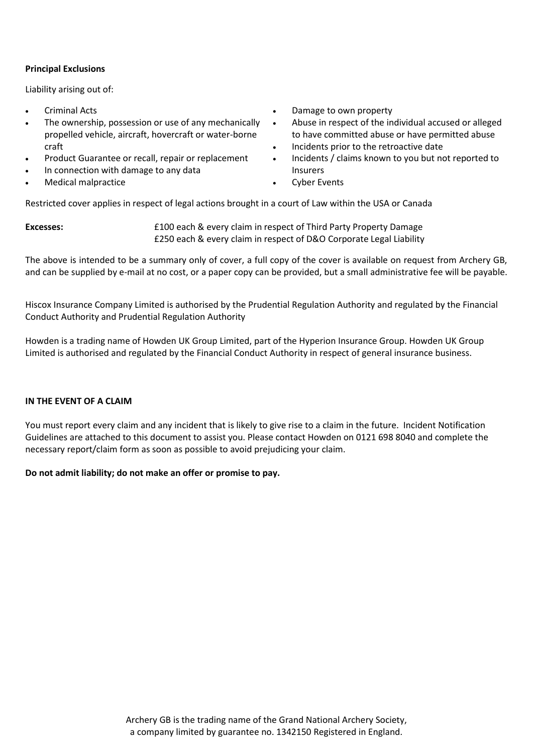# **Principal Exclusions**

Liability arising out of:

- Criminal Acts
- The ownership, possession or use of any mechanically propelled vehicle, aircraft, hovercraft or water-borne craft
- Product Guarantee or recall, repair or replacement
- In connection with damage to any data
- Medical malpractice
- Damage to own property
- Abuse in respect of the individual accused or alleged to have committed abuse or have permitted abuse
- Incidents prior to the retroactive date
- Incidents / claims known to you but not reported to Insurers
- Cyber Events

Restricted cover applies in respect of legal actions brought in a court of Law within the USA or Canada

**Excesses:** £100 each & every claim in respect of Third Party Property Damage £250 each & every claim in respect of D&O Corporate Legal Liability

The above is intended to be a summary only of cover, a full copy of the cover is available on request from Archery GB, and can be supplied by e-mail at no cost, or a paper copy can be provided, but a small administrative fee will be payable.

Hiscox Insurance Company Limited is authorised by the Prudential Regulation Authority and regulated by the Financial Conduct Authority and Prudential Regulation Authority

Howden is a trading name of Howden UK Group Limited, part of the Hyperion Insurance Group. Howden UK Group Limited is authorised and regulated by the Financial Conduct Authority in respect of general insurance business.

## **IN THE EVENT OF A CLAIM**

You must report every claim and any incident that is likely to give rise to a claim in the future. Incident Notification Guidelines are attached to this document to assist you. Please contact Howden on 0121 698 8040 and complete the necessary report/claim form as soon as possible to avoid prejudicing your claim.

## **Do not admit liability; do not make an offer or promise to pay.**